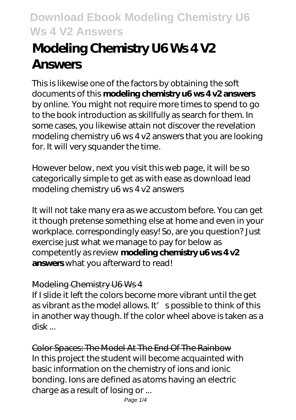# **Modeling Chemistry U6 Ws 4 V2 Answers**

This is likewise one of the factors by obtaining the soft documents of this **modeling chemistry u6 ws 4 v2 answers** by online. You might not require more times to spend to go to the book introduction as skillfully as search for them. In some cases, you likewise attain not discover the revelation modeling chemistry u6 ws 4 v2 answers that you are looking for. It will very squander the time.

However below, next you visit this web page, it will be so categorically simple to get as with ease as download lead modeling chemistry u6 ws 4 v2 answers

It will not take many era as we accustom before. You can get it though pretense something else at home and even in your workplace. correspondingly easy! So, are you question? Just exercise just what we manage to pay for below as competently as review **modeling chemistry u6 ws 4 v2 answers** what you afterward to read!

### Modeling Chemistry U6 Ws 4

If I slide it left the colors become more vibrant until the get as vibrant as the model allows. It' spossible to think of this in another way though. If the color wheel above is taken as a disk ...

Color Spaces: The Model At The End Of The Rainbow In this project the student will become acquainted with basic information on the chemistry of ions and ionic bonding. Ions are defined as atoms having an electric charge as a result of losing or ...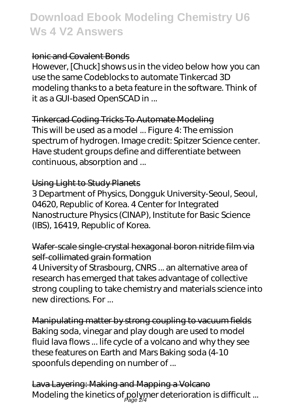#### Ionic and Covalent Bonds

However, [Chuck] shows us in the video below how you can use the same Codeblocks to automate Tinkercad 3D modeling thanks to a beta feature in the software. Think of it as a GUI-based OpenSCAD in ...

Tinkercad Coding Tricks To Automate Modeling This will be used as a model ... Figure 4: The emission spectrum of hydrogen. Image credit: Spitzer Science center. Have student groups define and differentiate between continuous, absorption and ...

#### Using Light to Study Planets

3 Department of Physics, Dongguk University-Seoul, Seoul, 04620, Republic of Korea. 4 Center for Integrated Nanostructure Physics (CINAP), Institute for Basic Science (IBS), 16419, Republic of Korea.

Wafer-scale single-crystal hexagonal boron nitride film via self-collimated grain formation

4 University of Strasbourg, CNRS ... an alternative area of research has emerged that takes advantage of collective strong coupling to take chemistry and materials science into new directions. For ...

Manipulating matter by strong coupling to vacuum fields Baking soda, vinegar and play dough are used to model fluid lava flows ... life cycle of a volcano and why they see these features on Earth and Mars Baking soda (4-10 spoonfuls depending on number of ...

Lava Layering: Making and Mapping a Volcano Modeling the kinetics of polymer deterioration is difficult ...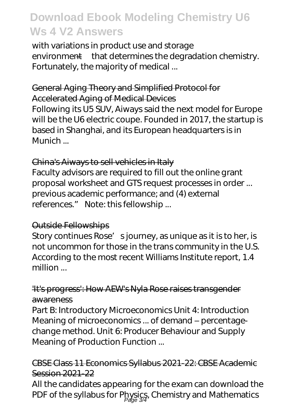with variations in product use and storage environment—that determines the degradation chemistry. Fortunately, the majority of medical ...

#### General Aging Theory and Simplified Protocol for Accelerated Aging of Medical Devices

Following its U5 SUV, Aiways said the next model for Europe will be the U6 electric coupe. Founded in 2017, the startup is based in Shanghai, and its European headquarters is in Munich ...

#### China's Aiways to sell vehicles in Italy

Faculty advisors are required to fill out the online grant proposal worksheet and GTS request processes in order ... previous academic performance; and (4) external references." Note: this fellowship ...

#### Outside Fellowships

Story continues Rose' sjourney, as unique as it is to her, is not uncommon for those in the trans community in the U.S. According to the most recent Williams Institute report, 1.4 million ...

#### 'It's progress': How AEW's Nyla Rose raises transgender awareness

Part B: Introductory Microeconomics Unit 4: Introduction Meaning of microeconomics ... of demand – percentagechange method. Unit 6: Producer Behaviour and Supply Meaning of Production Function ...

#### CBSE Class 11 Economics Syllabus 2021-22: CBSE Academic Session 2021-22

All the candidates appearing for the exam can download the PDF of the syllabus for Physics, Chemistry and Mathematics